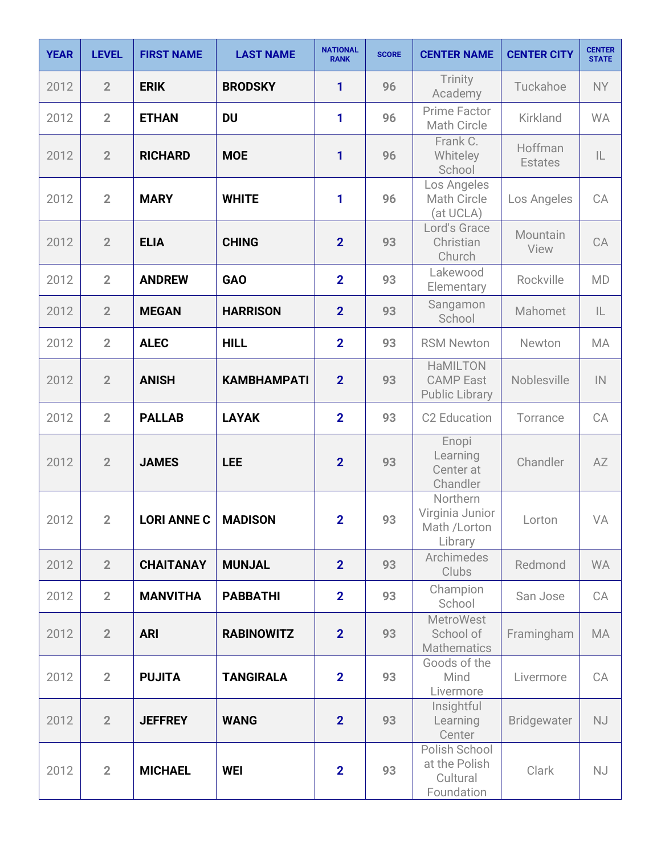| <b>YEAR</b> | <b>LEVEL</b>   | <b>FIRST NAME</b> | <b>LAST NAME</b>   | <b>NATIONAL</b><br><b>RANK</b> | <b>SCORE</b> | <b>CENTER NAME</b>                                           | <b>CENTER CITY</b>        | <b>CENTER</b><br><b>STATE</b> |
|-------------|----------------|-------------------|--------------------|--------------------------------|--------------|--------------------------------------------------------------|---------------------------|-------------------------------|
| 2012        | $\overline{2}$ | <b>ERIK</b>       | <b>BRODSKY</b>     | 1                              | 96           | Trinity<br>Academy                                           | Tuckahoe                  | <b>NY</b>                     |
| 2012        | $\overline{2}$ | <b>ETHAN</b>      | <b>DU</b>          | 1                              | 96           | Prime Factor<br>Math Circle                                  | Kirkland                  | <b>WA</b>                     |
| 2012        | $\overline{2}$ | <b>RICHARD</b>    | <b>MOE</b>         | 1                              | 96           | Frank C.<br>Whiteley<br>School                               | Hoffman<br><b>Estates</b> | IL                            |
| 2012        | $\overline{2}$ | <b>MARY</b>       | <b>WHITE</b>       | 1                              | 96           | Los Angeles<br>Math Circle<br>(at UCLA)                      | Los Angeles               | CA                            |
| 2012        | $\overline{2}$ | <b>ELIA</b>       | <b>CHING</b>       | $\overline{2}$                 | 93           | Lord's Grace<br>Christian<br>Church                          | Mountain<br>View          | CA                            |
| 2012        | $\overline{2}$ | <b>ANDREW</b>     | <b>GAO</b>         | $\overline{2}$                 | 93           | Lakewood<br>Elementary                                       | Rockville                 | <b>MD</b>                     |
| 2012        | $\overline{2}$ | <b>MEGAN</b>      | <b>HARRISON</b>    | $\overline{2}$                 | 93           | Sangamon<br>School                                           | Mahomet                   | IL                            |
| 2012        | $\overline{2}$ | <b>ALEC</b>       | <b>HILL</b>        | $\overline{2}$                 | 93           | <b>RSM Newton</b>                                            | Newton                    | MA                            |
| 2012        | $\overline{2}$ | <b>ANISH</b>      | <b>KAMBHAMPATI</b> | $\overline{2}$                 | 93           | <b>HaMILTON</b><br><b>CAMP East</b><br><b>Public Library</b> | Noblesville               | $\mathsf{IN}$                 |
| 2012        | $\overline{2}$ | <b>PALLAB</b>     | <b>LAYAK</b>       | $\overline{2}$                 | 93           | C2 Education                                                 | Torrance                  | CA                            |
| 2012        | $\overline{2}$ | <b>JAMES</b>      | <b>LEE</b>         | $\overline{2}$                 | 93           | Enopi<br>Learning<br>Center at<br>Chandler                   | Chandler                  | AZ                            |
| 2012        | $\overline{2}$ | LORI ANNE C       | <b>MADISON</b>     | $\overline{2}$                 | 93           | Northern<br>Virginia Junior<br>Math /Lorton<br>Library       | Lorton                    | VA                            |
| 2012        | $\overline{2}$ | <b>CHAITANAY</b>  | <b>MUNJAL</b>      | $\overline{2}$                 | 93           | Archimedes<br>Clubs                                          | Redmond                   | <b>WA</b>                     |
| 2012        | $\overline{2}$ | <b>MANVITHA</b>   | <b>PABBATHI</b>    | $\overline{2}$                 | 93           | Champion<br>School                                           | San Jose                  | CA                            |
| 2012        | $\overline{2}$ | <b>ARI</b>        | <b>RABINOWITZ</b>  | $\overline{2}$                 | 93           | <b>MetroWest</b><br>School of<br><b>Mathematics</b>          | Framingham                | MA                            |
| 2012        | $\overline{2}$ | <b>PUJITA</b>     | <b>TANGIRALA</b>   | $\overline{2}$                 | 93           | Goods of the<br>Mind<br>Livermore                            | Livermore                 | CA                            |
| 2012        | $\overline{2}$ | <b>JEFFREY</b>    | <b>WANG</b>        | $\overline{2}$                 | 93           | Insightful<br>Learning<br>Center                             | <b>Bridgewater</b>        | NJ                            |
| 2012        | $\overline{2}$ | <b>MICHAEL</b>    | <b>WEI</b>         | $\overline{2}$                 | 93           | Polish School<br>at the Polish<br>Cultural<br>Foundation     | Clark                     | <b>NJ</b>                     |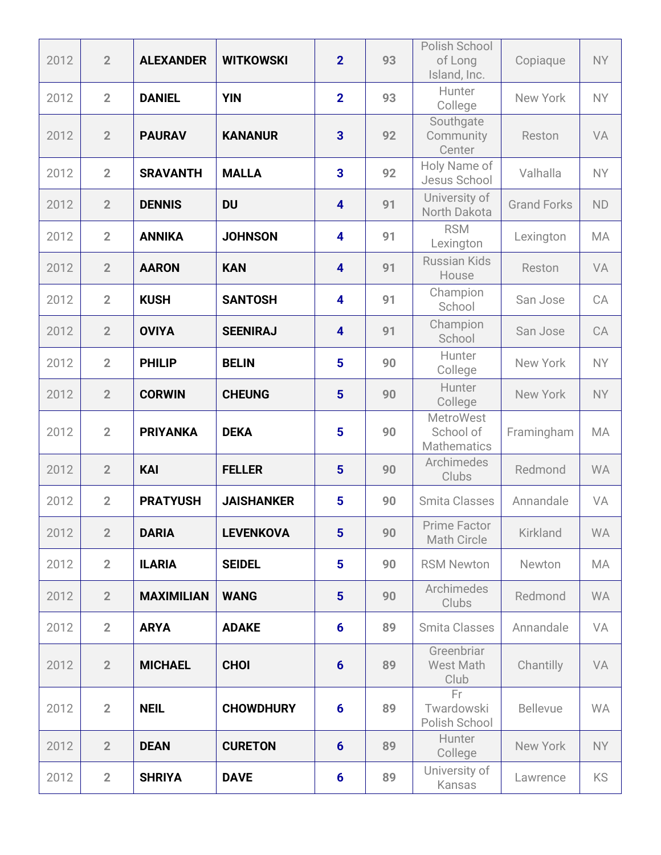| 2012 | $\overline{2}$ | <b>ALEXANDER</b>  | <b>WITKOWSKI</b>  | $\overline{2}$          | 93 | Polish School<br>of Long<br>Island, Inc.            | Copiaque           | <b>NY</b> |
|------|----------------|-------------------|-------------------|-------------------------|----|-----------------------------------------------------|--------------------|-----------|
| 2012 | $\overline{2}$ | <b>DANIEL</b>     | <b>YIN</b>        | $\overline{2}$          | 93 | Hunter<br>College                                   | New York           | <b>NY</b> |
| 2012 | $\overline{2}$ | <b>PAURAV</b>     | <b>KANANUR</b>    | $\overline{\mathbf{3}}$ | 92 | Southgate<br>Community<br>Center                    | Reston             | VA        |
| 2012 | $\overline{2}$ | <b>SRAVANTH</b>   | <b>MALLA</b>      | 3                       | 92 | Holy Name of<br>Jesus School                        | Valhalla           | <b>NY</b> |
| 2012 | $\overline{2}$ | <b>DENNIS</b>     | <b>DU</b>         | 4                       | 91 | University of<br>North Dakota                       | <b>Grand Forks</b> | <b>ND</b> |
| 2012 | $\overline{2}$ | <b>ANNIKA</b>     | <b>JOHNSON</b>    | 4                       | 91 | <b>RSM</b><br>Lexington                             | Lexington          | MA        |
| 2012 | $\overline{2}$ | <b>AARON</b>      | <b>KAN</b>        | 4                       | 91 | <b>Russian Kids</b><br>House                        | Reston             | VA        |
| 2012 | $\overline{2}$ | <b>KUSH</b>       | <b>SANTOSH</b>    | 4                       | 91 | Champion<br>School                                  | San Jose           | CA        |
| 2012 | $\overline{2}$ | <b>OVIYA</b>      | <b>SEENIRAJ</b>   | $\overline{\mathbf{4}}$ | 91 | Champion<br>School                                  | San Jose           | CA        |
| 2012 | $\overline{2}$ | <b>PHILIP</b>     | <b>BELIN</b>      | 5                       | 90 | Hunter<br>College                                   | New York           | <b>NY</b> |
| 2012 | $\overline{2}$ | <b>CORWIN</b>     | <b>CHEUNG</b>     | 5                       | 90 | Hunter<br>College                                   | New York           | <b>NY</b> |
| 2012 | $\overline{2}$ | <b>PRIYANKA</b>   | <b>DEKA</b>       | 5                       | 90 | <b>MetroWest</b><br>School of<br><b>Mathematics</b> | Framingham         | MA        |
| 2012 | $\overline{2}$ | <b>KAI</b>        | <b>FELLER</b>     | 5                       | 90 | Archimedes<br>Clubs                                 | Redmond            | <b>WA</b> |
| 2012 | $\overline{2}$ | <b>PRATYUSH</b>   | <b>JAISHANKER</b> | 5                       | 90 | <b>Smita Classes</b>                                | Annandale          | VA        |
| 2012 | $\overline{2}$ | <b>DARIA</b>      | <b>LEVENKOVA</b>  | 5                       | 90 | Prime Factor<br><b>Math Circle</b>                  | <b>Kirkland</b>    | <b>WA</b> |
| 2012 | $\overline{2}$ | <b>ILARIA</b>     | <b>SEIDEL</b>     | 5                       | 90 | <b>RSM Newton</b>                                   | Newton             | MA        |
| 2012 | $\overline{2}$ | <b>MAXIMILIAN</b> | <b>WANG</b>       | $5\phantom{1}$          | 90 | Archimedes<br>Clubs                                 | Redmond            | <b>WA</b> |
| 2012 | $\overline{2}$ | <b>ARYA</b>       | <b>ADAKE</b>      | $6\phantom{1}$          | 89 | Smita Classes                                       | Annandale          | VA        |
| 2012 | $\overline{2}$ | <b>MICHAEL</b>    | <b>CHOI</b>       | $6\phantom{1}6$         | 89 | Greenbriar<br>West Math<br>Club                     | Chantilly          | VA        |
| 2012 | $\overline{2}$ | <b>NEIL</b>       | <b>CHOWDHURY</b>  | $6\phantom{1}6$         | 89 | Fr<br>Twardowski<br>Polish School                   | <b>Bellevue</b>    | <b>WA</b> |
| 2012 | $\overline{2}$ | <b>DEAN</b>       | <b>CURETON</b>    | $6\phantom{1}6$         | 89 | Hunter<br>College                                   | New York           | <b>NY</b> |
| 2012 | $\overline{2}$ | <b>SHRIYA</b>     | <b>DAVE</b>       | $6\phantom{1}6$         | 89 | University of<br>Kansas                             | Lawrence           | KS        |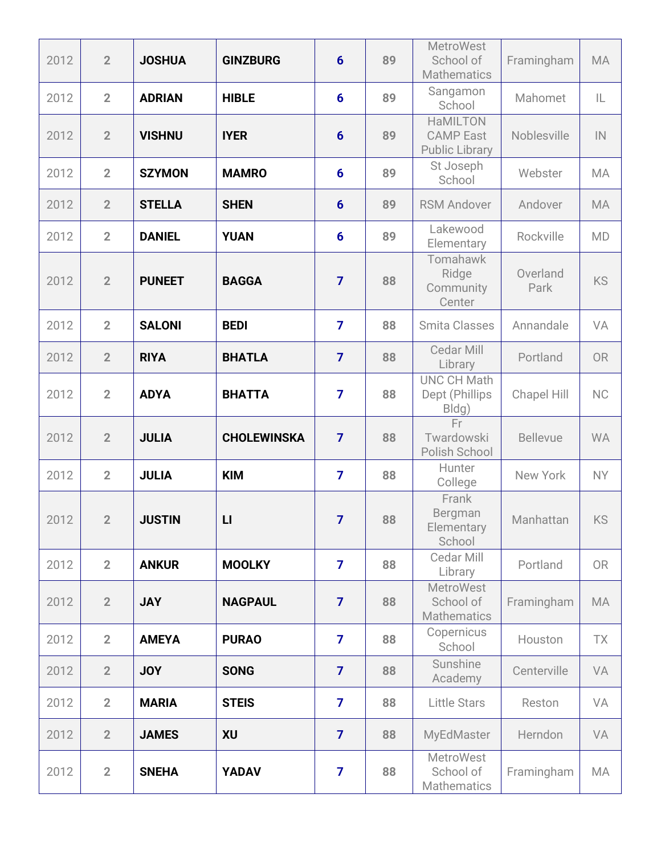| 2012 | $\overline{2}$ | <b>JOSHUA</b> | <b>GINZBURG</b>    | $6\phantom{1}6$ | 89 | <b>MetroWest</b><br>School of<br><b>Mathematics</b>          | Framingham       | <b>MA</b> |
|------|----------------|---------------|--------------------|-----------------|----|--------------------------------------------------------------|------------------|-----------|
| 2012 | $\overline{2}$ | <b>ADRIAN</b> | <b>HIBLE</b>       | 6               | 89 | Sangamon<br>School                                           | Mahomet          | IL        |
| 2012 | $\overline{2}$ | <b>VISHNU</b> | <b>IYER</b>        | $6\phantom{1}6$ | 89 | <b>HaMILTON</b><br><b>CAMP East</b><br><b>Public Library</b> | Noblesville      | IN        |
| 2012 | $\overline{2}$ | <b>SZYMON</b> | <b>MAMRO</b>       | $6\phantom{1}$  | 89 | St Joseph<br>School                                          | Webster          | MA        |
| 2012 | $\overline{2}$ | <b>STELLA</b> | <b>SHEN</b>        | $6\phantom{1}6$ | 89 | <b>RSM Andover</b>                                           | Andover          | <b>MA</b> |
| 2012 | $\overline{2}$ | <b>DANIEL</b> | <b>YUAN</b>        | $6\phantom{1}6$ | 89 | Lakewood<br>Elementary                                       | Rockville        | <b>MD</b> |
| 2012 | $\overline{2}$ | <b>PUNEET</b> | <b>BAGGA</b>       | $\overline{7}$  | 88 | Tomahawk<br>Ridge<br>Community<br>Center                     | Overland<br>Park | <b>KS</b> |
| 2012 | $\overline{2}$ | <b>SALONI</b> | <b>BEDI</b>        | $\overline{7}$  | 88 | <b>Smita Classes</b>                                         | Annandale        | VA        |
| 2012 | $\overline{2}$ | <b>RIYA</b>   | <b>BHATLA</b>      | $\overline{7}$  | 88 | Cedar Mill<br>Library                                        | Portland         | <b>OR</b> |
| 2012 | $\overline{2}$ | <b>ADYA</b>   | <b>BHATTA</b>      | $\overline{7}$  | 88 | <b>UNC CH Math</b><br>Dept (Phillips<br>Bldg)                | Chapel Hill      | <b>NC</b> |
| 2012 | $\overline{2}$ | <b>JULIA</b>  | <b>CHOLEWINSKA</b> | $\overline{7}$  | 88 | Fr<br>Twardowski<br>Polish School                            | <b>Bellevue</b>  | <b>WA</b> |
| 2012 | $\overline{2}$ | <b>JULIA</b>  | <b>KIM</b>         | $\overline{7}$  | 88 | Hunter<br>College                                            | New York         | <b>NY</b> |
| 2012 | $\overline{2}$ | <b>JUSTIN</b> | $\mathsf{L}$       | $\overline{7}$  | 88 | Frank<br>Bergman<br>Elementary<br>School                     | Manhattan        | KS        |
| 2012 | $\overline{2}$ | <b>ANKUR</b>  | <b>MOOLKY</b>      | $\overline{7}$  | 88 | Cedar Mill<br>Library                                        | Portland         | <b>OR</b> |
| 2012 | $\overline{2}$ | <b>JAY</b>    | <b>NAGPAUL</b>     | $\overline{7}$  | 88 | <b>MetroWest</b><br>School of<br><b>Mathematics</b>          | Framingham       | <b>MA</b> |
| 2012 | $\overline{2}$ | <b>AMEYA</b>  | <b>PURAO</b>       | $\overline{7}$  | 88 | Copernicus<br>School                                         | Houston          | TX        |
| 2012 | $\overline{2}$ | <b>JOY</b>    | <b>SONG</b>        | $\overline{7}$  | 88 | Sunshine<br>Academy                                          | Centerville      | VA        |
| 2012 | $\overline{2}$ | <b>MARIA</b>  | <b>STEIS</b>       | $\overline{7}$  | 88 | <b>Little Stars</b>                                          | Reston           | VA        |
| 2012 | $\overline{2}$ | <b>JAMES</b>  | <b>XU</b>          | $\overline{7}$  | 88 | MyEdMaster                                                   | Herndon          | VA        |
| 2012 | $\overline{2}$ | <b>SNEHA</b>  | <b>YADAV</b>       | $\overline{7}$  | 88 | <b>MetroWest</b><br>School of<br><b>Mathematics</b>          | Framingham       | MA        |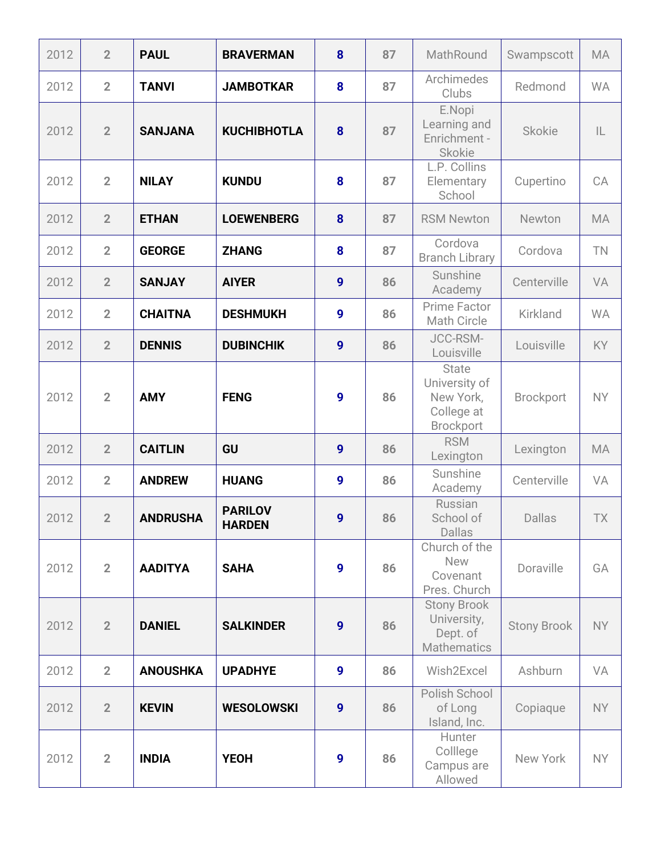| 2012 | $\overline{2}$ | <b>PAUL</b>     | <b>BRAVERMAN</b>                | 8                | 87 | MathRound                                                                    | Swampscott         | <b>MA</b> |
|------|----------------|-----------------|---------------------------------|------------------|----|------------------------------------------------------------------------------|--------------------|-----------|
| 2012 | $\overline{2}$ | <b>TANVI</b>    | <b>JAMBOTKAR</b>                | 8                | 87 | Archimedes<br>Clubs                                                          | Redmond            | <b>WA</b> |
| 2012 | $\overline{2}$ | <b>SANJANA</b>  | <b>KUCHIBHOTLA</b>              | 8                | 87 | E.Nopi<br>Learning and<br>Enrichment -<br><b>Skokie</b>                      | <b>Skokie</b>      | IL        |
| 2012 | $\overline{2}$ | <b>NILAY</b>    | <b>KUNDU</b>                    | 8                | 87 | L.P. Collins<br>Elementary<br>School                                         | Cupertino          | CA        |
| 2012 | $\overline{2}$ | <b>ETHAN</b>    | <b>LOEWENBERG</b>               | 8                | 87 | <b>RSM Newton</b>                                                            | Newton             | <b>MA</b> |
| 2012 | $\overline{2}$ | <b>GEORGE</b>   | <b>ZHANG</b>                    | 8                | 87 | Cordova<br><b>Branch Library</b>                                             | Cordova            | TN        |
| 2012 | $\overline{2}$ | <b>SANJAY</b>   | <b>AIYER</b>                    | 9                | 86 | Sunshine<br>Academy                                                          | Centerville        | <b>VA</b> |
| 2012 | $\overline{2}$ | <b>CHAITNA</b>  | <b>DESHMUKH</b>                 | 9                | 86 | Prime Factor<br>Math Circle                                                  | Kirkland           | <b>WA</b> |
| 2012 | $\overline{2}$ | <b>DENNIS</b>   | <b>DUBINCHIK</b>                | 9                | 86 | JCC-RSM-<br>Louisville                                                       | Louisville         | KY        |
| 2012 | $\overline{2}$ | <b>AMY</b>      | <b>FENG</b>                     | 9                | 86 | <b>State</b><br>University of<br>New York,<br>College at<br><b>Brockport</b> | <b>Brockport</b>   | <b>NY</b> |
| 2012 | $\overline{2}$ | <b>CAITLIN</b>  | GU                              | $\boldsymbol{9}$ | 86 | <b>RSM</b><br>Lexington                                                      | Lexington          | <b>MA</b> |
| 2012 | $\overline{2}$ | <b>ANDREW</b>   | <b>HUANG</b>                    | 9                | 86 | Sunshine<br>Academy                                                          | Centerville        | VA        |
| 2012 | $\mathbf 2$    | <b>ANDRUSHA</b> | <b>PARILOV</b><br><b>HARDEN</b> | $\boldsymbol{9}$ | 86 | Russian<br>School of<br><b>Dallas</b>                                        | <b>Dallas</b>      | <b>TX</b> |
| 2012 | $\overline{2}$ | <b>AADITYA</b>  | <b>SAHA</b>                     | 9                | 86 | Church of the<br>New<br>Covenant<br>Pres. Church                             | Doraville          | GA        |
| 2012 | $\overline{2}$ | <b>DANIEL</b>   | <b>SALKINDER</b>                | 9                | 86 | <b>Stony Brook</b><br>University,<br>Dept. of<br><b>Mathematics</b>          | <b>Stony Brook</b> | <b>NY</b> |
| 2012 | $\overline{2}$ | <b>ANOUSHKA</b> | <b>UPADHYE</b>                  | 9                | 86 | Wish2Excel                                                                   | Ashburn            | VA        |
| 2012 | $\overline{2}$ | <b>KEVIN</b>    | <b>WESOLOWSKI</b>               | 9                | 86 | Polish School<br>of Long<br>Island, Inc.                                     | Copiaque           | <b>NY</b> |
| 2012 | $\overline{2}$ | <b>INDIA</b>    | <b>YEOH</b>                     | 9                | 86 | Hunter<br>Colllege<br>Campus are<br>Allowed                                  | New York           | <b>NY</b> |